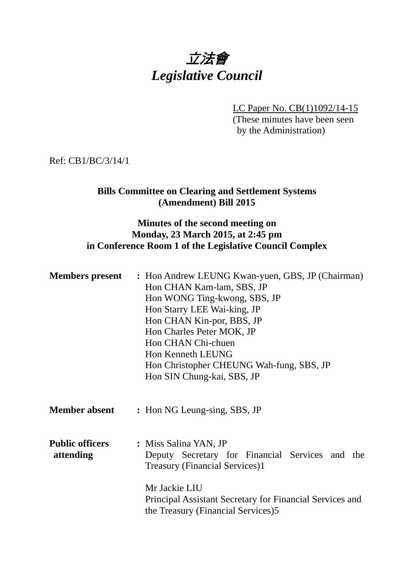# 立法會 *Legislative Council*

LC Paper No. CB(1)1092/14-15 (These minutes have been seen by the Administration)

Ref: CB1/BC/3/14/1

#### **Bills Committee on Clearing and Settlement Systems (Amendment) Bill 2015**

#### **Minutes of the second meeting on Monday, 23 March 2015, at 2:45 pm in Conference Room 1 of the Legislative Council Complex**

| <b>Members present</b>              | : Hon Andrew LEUNG Kwan-yuen, GBS, JP (Chairman)<br>Hon CHAN Kam-lam, SBS, JP<br>Hon WONG Ting-kwong, SBS, JP<br>Hon Starry LEE Wai-king, JP<br>Hon CHAN Kin-por, BBS, JP<br>Hon Charles Peter MOK, JP<br>Hon CHAN Chi-chuen<br>Hon Kenneth LEUNG<br>Hon Christopher CHEUNG Wah-fung, SBS, JP<br>Hon SIN Chung-kai, SBS, JP |
|-------------------------------------|-----------------------------------------------------------------------------------------------------------------------------------------------------------------------------------------------------------------------------------------------------------------------------------------------------------------------------|
| <b>Member absent</b>                | : Hon NG Leung-sing, SBS, JP                                                                                                                                                                                                                                                                                                |
| <b>Public officers</b><br>attending | : Miss Salina YAN, JP<br>Deputy Secretary for Financial Services and the<br><b>Treasury (Financial Services)1</b><br>Mr Jackie LIU<br>Principal Assistant Secretary for Financial Services and<br>the Treasury (Financial Services)5                                                                                        |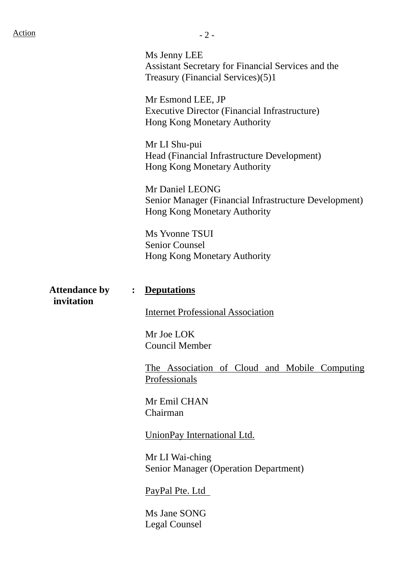Ms Jenny LEE Assistant Secretary for Financial Services and the Treasury (Financial Services)(5)1

Mr Esmond LEE, JP Executive Director (Financial Infrastructure) Hong Kong Monetary Authority

Mr LI Shu-pui Head (Financial Infrastructure Development) Hong Kong Monetary Authority

Mr Daniel LEONG Senior Manager (Financial Infrastructure Development) Hong Kong Monetary Authority

Ms Yvonne TSUI Senior Counsel Hong Kong Monetary Authority

#### **Attendance by : Deputations**

**invitation**

Internet Professional Association

Mr Joe LOK Council Member

The Association of Cloud and Mobile Computing Professionals

Mr Emil CHAN Chairman

UnionPay International Ltd.

Mr LI Wai-ching Senior Manager (Operation Department)

PayPal Pte. Ltd

Ms Jane SONG Legal Counsel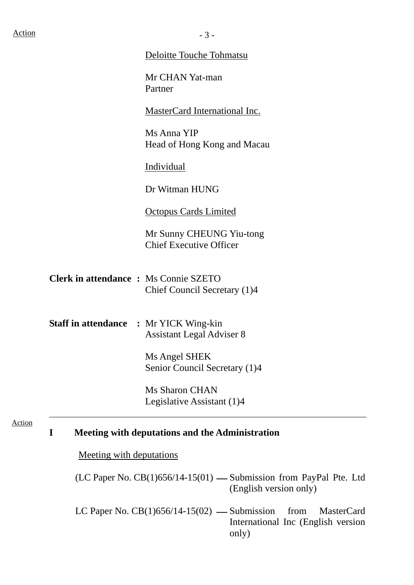#### Deloitte Touche Tohmatsu

Mr CHAN Yat-man Partner

MasterCard International Inc.

Ms Anna YIP Head of Hong Kong and Macau

Individual

Dr Witman HUNG

Octopus Cards Limited

Mr Sunny CHEUNG Yiu-tong Chief Executive Officer

- **Clerk in attendance :** Ms Connie SZETO Chief Council Secretary (1)4
- **Staff in attendance :** Mr YICK Wing-kin Assistant Legal Adviser 8

Ms Angel SHEK Senior Council Secretary (1)4

Ms Sharon CHAN Legislative Assistant (1)4

#### Action

### **I Meeting with deputations and the Administration**

Meeting with deputations

(LC Paper No.  $CB(1)656/14-15(01)$  — Submission from PayPal Pte. Ltd (English version only)

LC Paper No.  $CB(1)656/14-15(02)$  — Submission from MasterCard International Inc (English version only)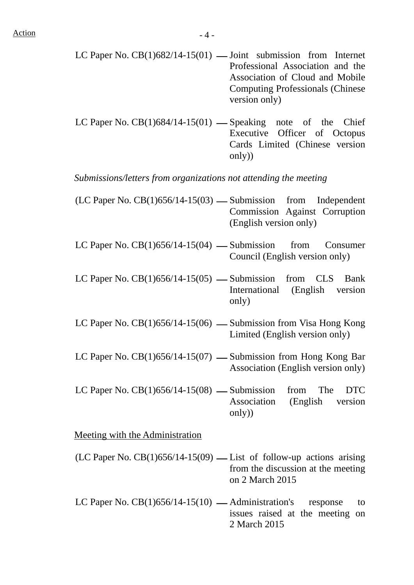- LC Paper No.  $CB(1)682/14-15(01)$  Joint submission from Internet Professional Association and the Association of Cloud and Mobile Computing Professionals (Chinese version only)
- LC Paper No.  $CB(1)684/14-15(01)$  Speaking note of the Chief Executive Officer of Octopus Cards Limited (Chinese version only))

*Submissions/letters from organizations not attending the meeting*

- $(LC$  Paper No.  $CB(1)656/14-15(03)$  Submission from Independent Commission Against Corruption (English version only)
- LC Paper No.  $CB(1)656/14-15(04)$  Submission from Consumer Council (English version only)
- LC Paper No.  $CB(1)656/14-15(05)$  Submission from CLS Bank International (English version only)
- LC Paper No.  $CB(1)656/14-15(06)$  Submission from Visa Hong Kong Limited (English version only)
- LC Paper No.  $CB(1)656/14-15(07)$  Submission from Hong Kong Bar Association (English version only)
- LC Paper No.  $CB(1)656/14-15(08)$  Submission from The DTC Association (English version only))

Meeting with the Administration

- (LC Paper No. CB(1)656/14-15(09) List of follow-up actions arising from the discussion at the meeting on 2 March 2015
- LC Paper No.  $CB(1)656/14-15(10)$  Administration's response to issues raised at the meeting on 2 March 2015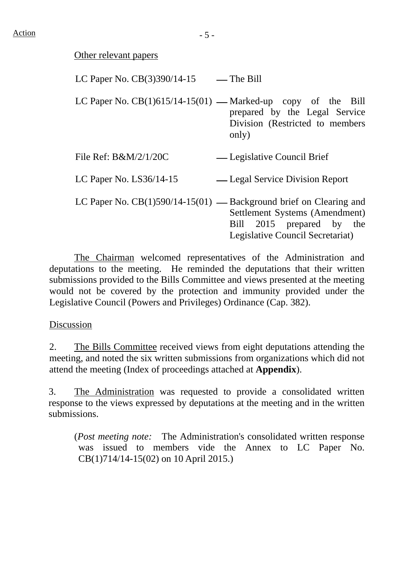#### Other relevant papers

| LC Paper No. CB(3)390/14-15                                          | — The Bill                                                                                      |
|----------------------------------------------------------------------|-------------------------------------------------------------------------------------------------|
| LC Paper No. $CB(1)615/14-15(01)$ — Marked-up copy of the Bill       | prepared by the Legal Service<br>Division (Restricted to members)<br>only)                      |
| File Ref: B&M/2/1/20C                                                | — Legislative Council Brief                                                                     |
| LC Paper No. $LS36/14-15$                                            | — Legal Service Division Report                                                                 |
| LC Paper No. $CB(1)590/14-15(01)$ — Background brief on Clearing and | Settlement Systems (Amendment)<br>Bill 2015 prepared by the<br>Legislative Council Secretariat) |

 The Chairman welcomed representatives of the Administration and deputations to the meeting. He reminded the deputations that their written submissions provided to the Bills Committee and views presented at the meeting would not be covered by the protection and immunity provided under the Legislative Council (Powers and Privileges) Ordinance (Cap. 382).

#### Discussion

2. The Bills Committee received views from eight deputations attending the meeting, and noted the six written submissions from organizations which did not attend the meeting (Index of proceedings attached at **Appendix**).

3. The Administration was requested to provide a consolidated written response to the views expressed by deputations at the meeting and in the written submissions.

(*Post meeting note:* The Administration's consolidated written response was issued to members vide the Annex to LC Paper No. CB(1)714/14-15(02) on 10 April 2015.)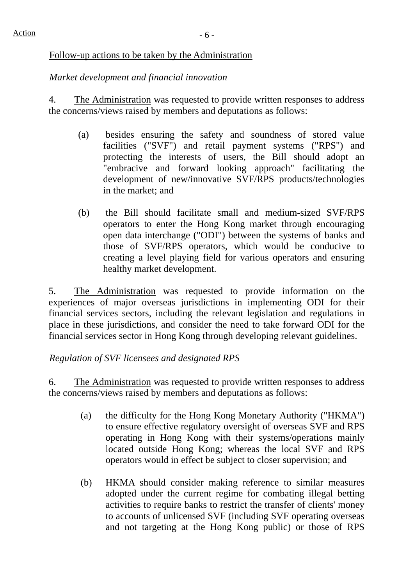#### Follow-up actions to be taken by the Administration

## *Market development and financial innovation*

4. The Administration was requested to provide written responses to address the concerns/views raised by members and deputations as follows:

- (a) besides ensuring the safety and soundness of stored value facilities ("SVF") and retail payment systems ("RPS") and protecting the interests of users, the Bill should adopt an "embracive and forward looking approach" facilitating the development of new/innovative SVF/RPS products/technologies in the market; and
- (b) the Bill should facilitate small and medium-sized SVF/RPS operators to enter the Hong Kong market through encouraging open data interchange ("ODI") between the systems of banks and those of SVF/RPS operators, which would be conducive to creating a level playing field for various operators and ensuring healthy market development.

5. The Administration was requested to provide information on the experiences of major overseas jurisdictions in implementing ODI for their financial services sectors, including the relevant legislation and regulations in place in these jurisdictions, and consider the need to take forward ODI for the financial services sector in Hong Kong through developing relevant guidelines.

# *Regulation of SVF licensees and designated RPS*

6. The Administration was requested to provide written responses to address the concerns/views raised by members and deputations as follows:

- (a) the difficulty for the Hong Kong Monetary Authority ("HKMA") to ensure effective regulatory oversight of overseas SVF and RPS operating in Hong Kong with their systems/operations mainly located outside Hong Kong; whereas the local SVF and RPS operators would in effect be subject to closer supervision; and
- (b) HKMA should consider making reference to similar measures adopted under the current regime for combating illegal betting activities to require banks to restrict the transfer of clients' money to accounts of unlicensed SVF (including SVF operating overseas and not targeting at the Hong Kong public) or those of RPS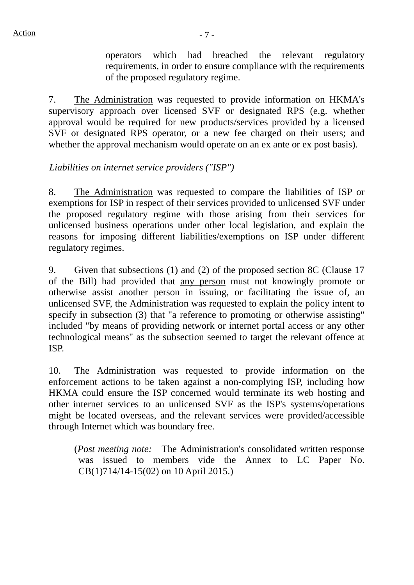operators which had breached the relevant regulatory requirements, in order to ensure compliance with the requirements of the proposed regulatory regime.

7. The Administration was requested to provide information on HKMA's supervisory approach over licensed SVF or designated RPS (e.g. whether approval would be required for new products/services provided by a licensed SVF or designated RPS operator, or a new fee charged on their users; and whether the approval mechanism would operate on an ex ante or ex post basis).

### *Liabilities on internet service providers ("ISP")*

8. The Administration was requested to compare the liabilities of ISP or exemptions for ISP in respect of their services provided to unlicensed SVF under the proposed regulatory regime with those arising from their services for unlicensed business operations under other local legislation, and explain the reasons for imposing different liabilities/exemptions on ISP under different regulatory regimes.

9. Given that subsections (1) and (2) of the proposed section 8C (Clause 17 of the Bill) had provided that any person must not knowingly promote or otherwise assist another person in issuing, or facilitating the issue of, an unlicensed SVF, the Administration was requested to explain the policy intent to specify in subsection (3) that "a reference to promoting or otherwise assisting" included "by means of providing network or internet portal access or any other technological means" as the subsection seemed to target the relevant offence at ISP.

10. The Administration was requested to provide information on the enforcement actions to be taken against a non-complying ISP, including how HKMA could ensure the ISP concerned would terminate its web hosting and other internet services to an unlicensed SVF as the ISP's systems/operations might be located overseas, and the relevant services were provided/accessible through Internet which was boundary free.

(*Post meeting note:* The Administration's consolidated written response was issued to members vide the Annex to LC Paper No. CB(1)714/14-15(02) on 10 April 2015.)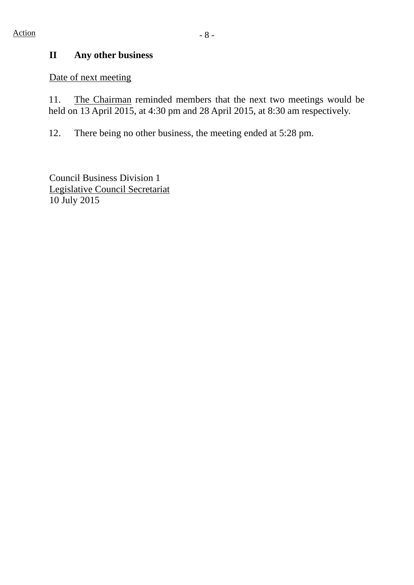### **II Any other business**

Date of next meeting

11. The Chairman reminded members that the next two meetings would be held on 13 April 2015, at 4:30 pm and 28 April 2015, at 8:30 am respectively.

12. There being no other business, the meeting ended at 5:28 pm.

Council Business Division 1 Legislative Council Secretariat 10 July 2015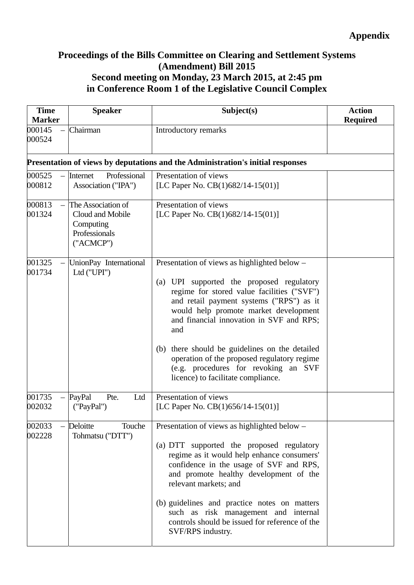### **Proceedings of the Bills Committee on Clearing and Settlement Systems (Amendment) Bill 2015 Second meeting on Monday, 23 March 2015, at 2:45 pm in Conference Room 1 of the Legislative Council Complex**

| <b>Time</b><br><b>Marker</b> | <b>Speaker</b>                                                                    | Subject(s)                                                                                                                                                                                                                                                                                                                                                                                                                                                        | <b>Action</b><br><b>Required</b> |
|------------------------------|-----------------------------------------------------------------------------------|-------------------------------------------------------------------------------------------------------------------------------------------------------------------------------------------------------------------------------------------------------------------------------------------------------------------------------------------------------------------------------------------------------------------------------------------------------------------|----------------------------------|
| 000145<br>000524             | Chairman                                                                          | Introductory remarks                                                                                                                                                                                                                                                                                                                                                                                                                                              |                                  |
|                              |                                                                                   | Presentation of views by deputations and the Administration's initial responses                                                                                                                                                                                                                                                                                                                                                                                   |                                  |
| 000525<br>$\equiv$<br>000812 | Professional<br>Internet<br>Association ("IPA")                                   | Presentation of views<br>[LC Paper No. $CB(1)682/14-15(01)$ ]                                                                                                                                                                                                                                                                                                                                                                                                     |                                  |
| 000813<br>001324             | The Association of<br>Cloud and Mobile<br>Computing<br>Professionals<br>("ACMCP") | Presentation of views<br>[LC Paper No. $CB(1)682/14-15(01)$ ]                                                                                                                                                                                                                                                                                                                                                                                                     |                                  |
| 001325<br>001734             | UnionPay International<br>Ltd ("UPI")                                             | Presentation of views as highlighted below -<br>(a) UPI supported the proposed regulatory<br>regime for stored value facilities ("SVF")<br>and retail payment systems ("RPS") as it<br>would help promote market development<br>and financial innovation in SVF and RPS;<br>and<br>there should be guidelines on the detailed<br>(b)<br>operation of the proposed regulatory regime<br>(e.g. procedures for revoking an SVF<br>licence) to facilitate compliance. |                                  |
| 001735<br>002032             | $-$  PayPal<br>Pte.<br>Ltd<br>("PayPal")                                          | Presentation of views<br>[LC Paper No. $CB(1)656/14-15(01)$ ]                                                                                                                                                                                                                                                                                                                                                                                                     |                                  |
| 002033<br>002228             | Deloitte<br>Touche<br>Tohmatsu ("DTT")                                            | Presentation of views as highlighted below -<br>(a) DTT supported the proposed regulatory<br>regime as it would help enhance consumers'<br>confidence in the usage of SVF and RPS,<br>and promote healthy development of the<br>relevant markets; and<br>(b) guidelines and practice notes on matters<br>such as risk management and internal<br>controls should be issued for reference of the<br>SVF/RPS industry.                                              |                                  |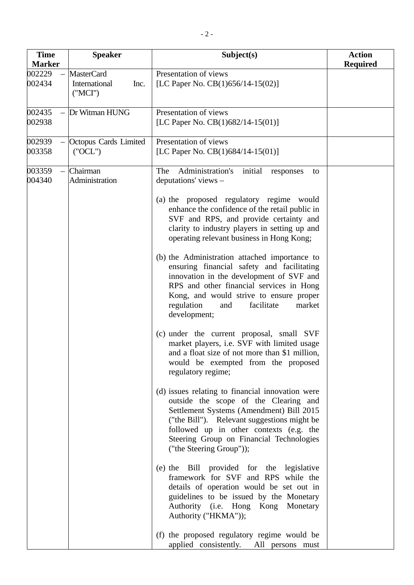| <b>Time</b><br><b>Marker</b> | <b>Speaker</b>                                        | Subject(s)                                                                                                                                                                                                                                                                                                                                                                                                                                                                                                                                                                                                                                                                                                                                                                                                                                                                                                                                                                                                                                                                                                                                                                                                                                                                                                                                                                                                                       | <b>Action</b><br><b>Required</b> |
|------------------------------|-------------------------------------------------------|----------------------------------------------------------------------------------------------------------------------------------------------------------------------------------------------------------------------------------------------------------------------------------------------------------------------------------------------------------------------------------------------------------------------------------------------------------------------------------------------------------------------------------------------------------------------------------------------------------------------------------------------------------------------------------------------------------------------------------------------------------------------------------------------------------------------------------------------------------------------------------------------------------------------------------------------------------------------------------------------------------------------------------------------------------------------------------------------------------------------------------------------------------------------------------------------------------------------------------------------------------------------------------------------------------------------------------------------------------------------------------------------------------------------------------|----------------------------------|
| 002229<br>002434             | <b>MasterCard</b><br>International<br>Inc.<br>('MCI') | Presentation of views<br>[LC Paper No. $CB(1)656/14-15(02)$ ]                                                                                                                                                                                                                                                                                                                                                                                                                                                                                                                                                                                                                                                                                                                                                                                                                                                                                                                                                                                                                                                                                                                                                                                                                                                                                                                                                                    |                                  |
| 002435<br>002938             | Dr Witman HUNG                                        | Presentation of views<br>[LC Paper No. $CB(1)682/14-15(01)$ ]                                                                                                                                                                                                                                                                                                                                                                                                                                                                                                                                                                                                                                                                                                                                                                                                                                                                                                                                                                                                                                                                                                                                                                                                                                                                                                                                                                    |                                  |
| 002939<br>003358             | Octopus Cards Limited<br>('OCL")                      | Presentation of views<br>[LC Paper No. $CB(1)684/14-15(01)$ ]                                                                                                                                                                                                                                                                                                                                                                                                                                                                                                                                                                                                                                                                                                                                                                                                                                                                                                                                                                                                                                                                                                                                                                                                                                                                                                                                                                    |                                  |
| 003359<br>004340             | Chairman<br>Administration                            | Administration's<br>initial<br>The<br>responses<br>to<br>deputations' views -<br>(a) the proposed regulatory regime would<br>enhance the confidence of the retail public in<br>SVF and RPS, and provide certainty and<br>clarity to industry players in setting up and<br>operating relevant business in Hong Kong;<br>(b) the Administration attached importance to<br>ensuring financial safety and facilitating<br>innovation in the development of SVF and<br>RPS and other financial services in Hong<br>Kong, and would strive to ensure proper<br>regulation<br>facilitate<br>and<br>market<br>development;<br>(c) under the current proposal, small SVF<br>market players, i.e. SVF with limited usage<br>and a float size of not more than \$1 million,<br>would be exempted from the proposed<br>regulatory regime;<br>(d) issues relating to financial innovation were<br>outside the scope of the Clearing and<br>Settlement Systems (Amendment) Bill 2015<br>("the Bill"). Relevant suggestions might be<br>followed up in other contexts (e.g. the<br>Steering Group on Financial Technologies<br>("the Steering Group"));<br>(e) the Bill provided for the legislative<br>framework for SVF and RPS while the<br>details of operation would be set out in<br>guidelines to be issued by the Monetary<br>Authority (i.e. Hong Kong Monetary<br>Authority ("HKMA"));<br>(f) the proposed regulatory regime would be |                                  |
|                              |                                                       | applied consistently. All persons must                                                                                                                                                                                                                                                                                                                                                                                                                                                                                                                                                                                                                                                                                                                                                                                                                                                                                                                                                                                                                                                                                                                                                                                                                                                                                                                                                                                           |                                  |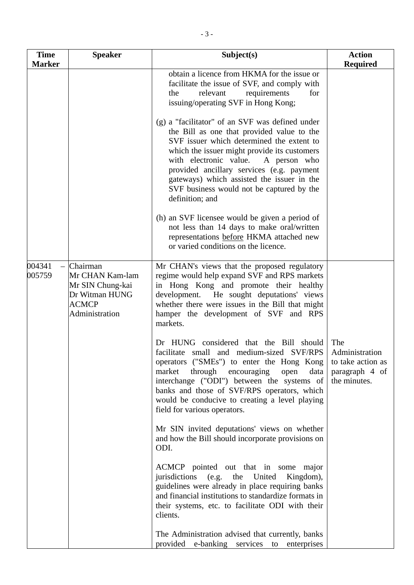| <b>Time</b>      | <b>Speaker</b>                                                                                          | Subject(s)                                                                                                                                                                                                                                                                                                                                                                                      | <b>Action</b>                                                                |
|------------------|---------------------------------------------------------------------------------------------------------|-------------------------------------------------------------------------------------------------------------------------------------------------------------------------------------------------------------------------------------------------------------------------------------------------------------------------------------------------------------------------------------------------|------------------------------------------------------------------------------|
| <b>Marker</b>    |                                                                                                         |                                                                                                                                                                                                                                                                                                                                                                                                 | <b>Required</b>                                                              |
|                  |                                                                                                         | obtain a licence from HKMA for the issue or<br>facilitate the issue of SVF, and comply with<br>relevant<br>requirements<br>for<br>the<br>issuing/operating SVF in Hong Kong;                                                                                                                                                                                                                    |                                                                              |
|                  |                                                                                                         | (g) a "facilitator" of an SVF was defined under<br>the Bill as one that provided value to the<br>SVF issuer which determined the extent to<br>which the issuer might provide its customers<br>with electronic value.<br>A person who<br>provided ancillary services (e.g. payment<br>gateways) which assisted the issuer in the<br>SVF business would not be captured by the<br>definition; and |                                                                              |
|                  |                                                                                                         | (h) an SVF licensee would be given a period of<br>not less than 14 days to make oral/written<br>representations before HKMA attached new<br>or varied conditions on the licence.                                                                                                                                                                                                                |                                                                              |
| 004341<br>005759 | $-$ Chairman<br>Mr CHAN Kam-lam<br>Mr SIN Chung-kai<br>Dr Witman HUNG<br><b>ACMCP</b><br>Administration | Mr CHAN's views that the proposed regulatory<br>regime would help expand SVF and RPS markets<br>in Hong Kong and promote their healthy<br>development. He sought deputations' views<br>whether there were issues in the Bill that might<br>hamper the development of SVF and RPS<br>markets.                                                                                                    |                                                                              |
|                  |                                                                                                         | Dr HUNG considered that the Bill should<br>facilitate small and medium-sized SVF/RPS<br>operators ("SMEs") to enter the Hong Kong<br>market<br>through encouraging<br>data<br>open<br>interchange ("ODI") between the systems of<br>banks and those of SVF/RPS operators, which<br>would be conducive to creating a level playing<br>field for various operators.                               | The<br>Administration<br>to take action as<br>paragraph 4 of<br>the minutes. |
|                  |                                                                                                         | Mr SIN invited deputations' views on whether<br>and how the Bill should incorporate provisions on<br>ODI.                                                                                                                                                                                                                                                                                       |                                                                              |
|                  |                                                                                                         | ACMCP pointed out that in some major<br>jurisdictions<br>(e.g. the United<br>Kingdom),<br>guidelines were already in place requiring banks<br>and financial institutions to standardize formats in<br>their systems, etc. to facilitate ODI with their<br>clients.                                                                                                                              |                                                                              |
|                  |                                                                                                         | The Administration advised that currently, banks<br>provided e-banking services to<br>enterprises                                                                                                                                                                                                                                                                                               |                                                                              |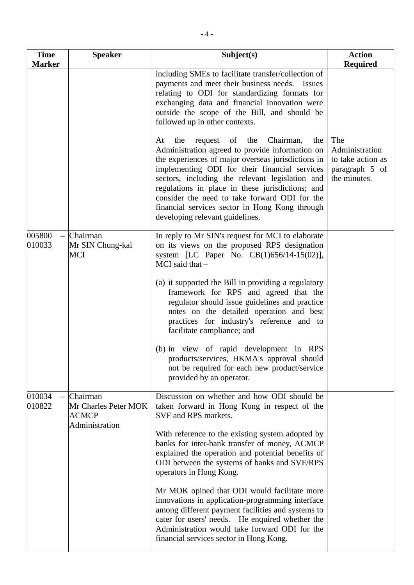| <b>Time</b>      | <b>Speaker</b>                                                     | Subject(s)                                                                                                                                                                                                                                                                                                                                                                                                                                                                                                                                                                                                                                                       | <b>Action</b>                                                                |
|------------------|--------------------------------------------------------------------|------------------------------------------------------------------------------------------------------------------------------------------------------------------------------------------------------------------------------------------------------------------------------------------------------------------------------------------------------------------------------------------------------------------------------------------------------------------------------------------------------------------------------------------------------------------------------------------------------------------------------------------------------------------|------------------------------------------------------------------------------|
| <b>Marker</b>    |                                                                    | including SMEs to facilitate transfer/collection of<br>payments and meet their business needs. Issues<br>relating to ODI for standardizing formats for<br>exchanging data and financial innovation were<br>outside the scope of the Bill, and should be<br>followed up in other contexts.                                                                                                                                                                                                                                                                                                                                                                        | <b>Required</b>                                                              |
|                  |                                                                    | the<br>Chairman,<br>At<br>the<br>request of<br>the<br>Administration agreed to provide information on<br>the experiences of major overseas jurisdictions in<br>implementing ODI for their financial services<br>sectors, including the relevant legislation and<br>regulations in place in these jurisdictions; and<br>consider the need to take forward ODI for the<br>financial services sector in Hong Kong through<br>developing relevant guidelines.                                                                                                                                                                                                        | The<br>Administration<br>to take action as<br>paragraph 5 of<br>the minutes. |
| 005800<br>010033 | Chairman<br>Mr SIN Chung-kai<br><b>MCI</b>                         | In reply to Mr SIN's request for MCI to elaborate<br>on its views on the proposed RPS designation<br>system [LC Paper No. CB(1)656/14-15(02)],<br>MCI said that $-$<br>(a) it supported the Bill in providing a regulatory<br>framework for RPS and agreed that the<br>regulator should issue guidelines and practice<br>notes on the detailed operation and best<br>practices for industry's reference and to                                                                                                                                                                                                                                                   |                                                                              |
|                  |                                                                    | facilitate compliance; and<br>(b) in view of rapid development in RPS<br>products/services, HKMA's approval should<br>not be required for each new product/service<br>provided by an operator.                                                                                                                                                                                                                                                                                                                                                                                                                                                                   |                                                                              |
| 010034<br>010822 | Chairman<br>Mr Charles Peter MOK<br><b>ACMCP</b><br>Administration | Discussion on whether and how ODI should be<br>taken forward in Hong Kong in respect of the<br>SVF and RPS markets.<br>With reference to the existing system adopted by<br>banks for inter-bank transfer of money, ACMCP<br>explained the operation and potential benefits of<br>ODI between the systems of banks and SVF/RPS<br>operators in Hong Kong.<br>Mr MOK opined that ODI would facilitate more<br>innovations in application-programming interface<br>among different payment facilities and systems to<br>cater for users' needs. He enquired whether the<br>Administration would take forward ODI for the<br>financial services sector in Hong Kong. |                                                                              |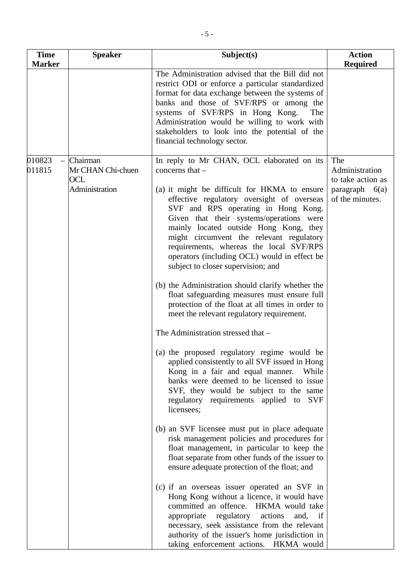| <b>Time</b><br><b>Marker</b> | <b>Speaker</b>                                                | Subject(s)                                                                                                                                                                                                                                                                                                                                                                                                                                                                                                                                                                                                                                                                                                                                                                                                                                                                                                                                                                                                                                                                                                                                                                                                                                                                                                                                                                                                                                                                                                                                                                                                      | <b>Action</b><br><b>Required</b>                                                  |
|------------------------------|---------------------------------------------------------------|-----------------------------------------------------------------------------------------------------------------------------------------------------------------------------------------------------------------------------------------------------------------------------------------------------------------------------------------------------------------------------------------------------------------------------------------------------------------------------------------------------------------------------------------------------------------------------------------------------------------------------------------------------------------------------------------------------------------------------------------------------------------------------------------------------------------------------------------------------------------------------------------------------------------------------------------------------------------------------------------------------------------------------------------------------------------------------------------------------------------------------------------------------------------------------------------------------------------------------------------------------------------------------------------------------------------------------------------------------------------------------------------------------------------------------------------------------------------------------------------------------------------------------------------------------------------------------------------------------------------|-----------------------------------------------------------------------------------|
|                              |                                                               | The Administration advised that the Bill did not<br>restrict ODI or enforce a particular standardized<br>format for data exchange between the systems of<br>banks and those of SVF/RPS or among the<br>systems of SVF/RPS in Hong Kong.<br>The<br>Administration would be willing to work with<br>stakeholders to look into the potential of the<br>financial technology sector.                                                                                                                                                                                                                                                                                                                                                                                                                                                                                                                                                                                                                                                                                                                                                                                                                                                                                                                                                                                                                                                                                                                                                                                                                                |                                                                                   |
| 010823<br>011815             | Chairman<br>Mr CHAN Chi-chuen<br><b>OCL</b><br>Administration | In reply to Mr CHAN, OCL elaborated on its<br>concerns that -<br>(a) it might be difficult for HKMA to ensure<br>effective regulatory oversight of overseas<br>SVF and RPS operating in Hong Kong.<br>Given that their systems/operations were<br>mainly located outside Hong Kong, they<br>might circumvent the relevant regulatory<br>requirements, whereas the local SVF/RPS<br>operators (including OCL) would in effect be<br>subject to closer supervision; and<br>(b) the Administration should clarify whether the<br>float safeguarding measures must ensure full<br>protection of the float at all times in order to<br>meet the relevant regulatory requirement.<br>The Administration stressed that -<br>(a) the proposed regulatory regime would be<br>applied consistently to all SVF issued in Hong<br>Kong in a fair and equal manner.<br>While<br>banks were deemed to be licensed to issue<br>SVF, they would be subject to the same<br>regulatory requirements applied to<br><b>SVF</b><br>licensees;<br>(b) an SVF licensee must put in place adequate<br>risk management policies and procedures for<br>float management, in particular to keep the<br>float separate from other funds of the issuer to<br>ensure adequate protection of the float; and<br>(c) if an overseas issuer operated an SVF in<br>Hong Kong without a licence, it would have<br>committed an offence. HKMA would take<br>appropriate regulatory<br>actions<br>and, if<br>necessary, seek assistance from the relevant<br>authority of the issuer's home jurisdiction in<br>taking enforcement actions. HKMA would | The<br>Administration<br>to take action as<br>paragraph $6(a)$<br>of the minutes. |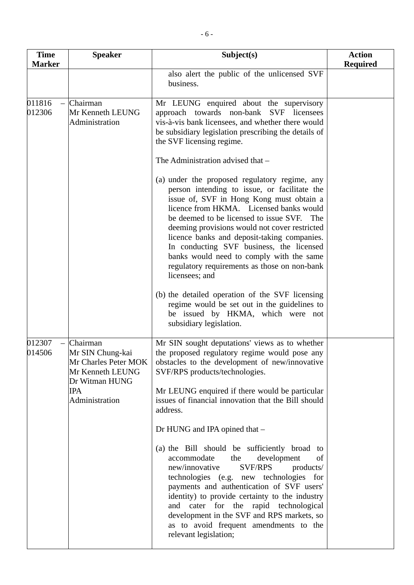| <b>Time</b><br><b>Marker</b>                 | <b>Speaker</b>                                                                                                             | Subject(s)                                                                                                                                                                                                                                                                                                                                                                                                                                                                                   | <b>Action</b><br><b>Required</b> |
|----------------------------------------------|----------------------------------------------------------------------------------------------------------------------------|----------------------------------------------------------------------------------------------------------------------------------------------------------------------------------------------------------------------------------------------------------------------------------------------------------------------------------------------------------------------------------------------------------------------------------------------------------------------------------------------|----------------------------------|
|                                              |                                                                                                                            | also alert the public of the unlicensed SVF<br>business.                                                                                                                                                                                                                                                                                                                                                                                                                                     |                                  |
| 011816<br>$\overline{\phantom{0}}$<br>012306 | Chairman<br>Mr Kenneth LEUNG<br>Administration                                                                             | Mr LEUNG enquired about the supervisory<br>approach towards non-bank SVF licensees<br>vis-à-vis bank licensees, and whether there would<br>be subsidiary legislation prescribing the details of<br>the SVF licensing regime.                                                                                                                                                                                                                                                                 |                                  |
|                                              |                                                                                                                            | The Administration advised that -                                                                                                                                                                                                                                                                                                                                                                                                                                                            |                                  |
|                                              |                                                                                                                            | (a) under the proposed regulatory regime, any<br>person intending to issue, or facilitate the<br>issue of, SVF in Hong Kong must obtain a<br>licence from HKMA. Licensed banks would<br>be deemed to be licensed to issue SVF. The<br>deeming provisions would not cover restricted<br>licence banks and deposit-taking companies.<br>In conducting SVF business, the licensed<br>banks would need to comply with the same<br>regulatory requirements as those on non-bank<br>licensees; and |                                  |
|                                              |                                                                                                                            | (b) the detailed operation of the SVF licensing<br>regime would be set out in the guidelines to<br>be issued by HKMA, which were not<br>subsidiary legislation.                                                                                                                                                                                                                                                                                                                              |                                  |
| 012307<br>$\equiv$<br>014506                 | Chairman<br>Mr SIN Chung-kai<br>Mr Charles Peter MOK<br>Mr Kenneth LEUNG<br>Dr Witman HUNG<br><b>IPA</b><br>Administration | Mr SIN sought deputations' views as to whether<br>the proposed regulatory regime would pose any<br>obstacles to the development of new/innovative<br>SVF/RPS products/technologies.<br>Mr LEUNG enquired if there would be particular<br>issues of financial innovation that the Bill should<br>address.                                                                                                                                                                                     |                                  |
|                                              |                                                                                                                            | Dr HUNG and IPA opined that -                                                                                                                                                                                                                                                                                                                                                                                                                                                                |                                  |
|                                              |                                                                                                                            | (a) the Bill should be sufficiently broad to<br>accommodate<br>development<br>the<br>of<br>new/innovative<br><b>SVF/RPS</b><br>products/<br>technologies (e.g. new technologies for<br>payments and authentication of SVF users'<br>identity) to provide certainty to the industry<br>and cater for the rapid technological<br>development in the SVF and RPS markets, so<br>as to avoid frequent amendments to the<br>relevant legislation;                                                 |                                  |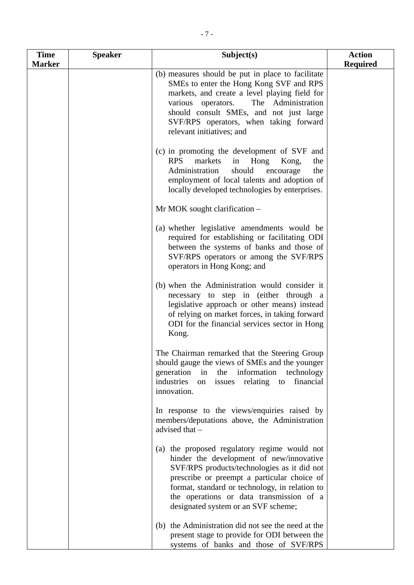| <b>Time</b><br><b>Marker</b> | <b>Speaker</b> | Subject(s)                                                                                                                                                                                                                                                                                                                  | <b>Action</b><br><b>Required</b> |
|------------------------------|----------------|-----------------------------------------------------------------------------------------------------------------------------------------------------------------------------------------------------------------------------------------------------------------------------------------------------------------------------|----------------------------------|
|                              |                | (b) measures should be put in place to facilitate<br>SMEs to enter the Hong Kong SVF and RPS<br>markets, and create a level playing field for<br>various operators.<br>The Administration<br>should consult SMEs, and not just large<br>SVF/RPS operators, when taking forward<br>relevant initiatives; and                 |                                  |
|                              |                | (c) in promoting the development of SVF and<br><b>RPS</b><br>markets<br>Hong<br>in<br>Kong,<br>the<br>should<br>Administration<br>encourage<br>the<br>employment of local talents and adoption of<br>locally developed technologies by enterprises.                                                                         |                                  |
|                              |                | $Mr MOK$ sought clarification $-$                                                                                                                                                                                                                                                                                           |                                  |
|                              |                | (a) whether legislative amendments would be<br>required for establishing or facilitating ODI<br>between the systems of banks and those of<br>SVF/RPS operators or among the SVF/RPS<br>operators in Hong Kong; and                                                                                                          |                                  |
|                              |                | (b) when the Administration would consider it<br>necessary to step in (either through a<br>legislative approach or other means) instead<br>of relying on market forces, in taking forward<br>ODI for the financial services sector in Hong<br>Kong.                                                                         |                                  |
|                              |                | The Chairman remarked that the Steering Group<br>should gauge the views of SMEs and the younger<br>information<br>generation in the<br>technology<br>industries<br>issues relating<br>financial<br>to<br>on<br>innovation.                                                                                                  |                                  |
|                              |                | In response to the views/enquiries raised by<br>members/deputations above, the Administration<br>advised that -                                                                                                                                                                                                             |                                  |
|                              |                | (a) the proposed regulatory regime would not<br>hinder the development of new/innovative<br>SVF/RPS products/technologies as it did not<br>prescribe or preempt a particular choice of<br>format, standard or technology, in relation to<br>the operations or data transmission of a<br>designated system or an SVF scheme; |                                  |
|                              |                | (b) the Administration did not see the need at the<br>present stage to provide for ODI between the<br>systems of banks and those of SVF/RPS                                                                                                                                                                                 |                                  |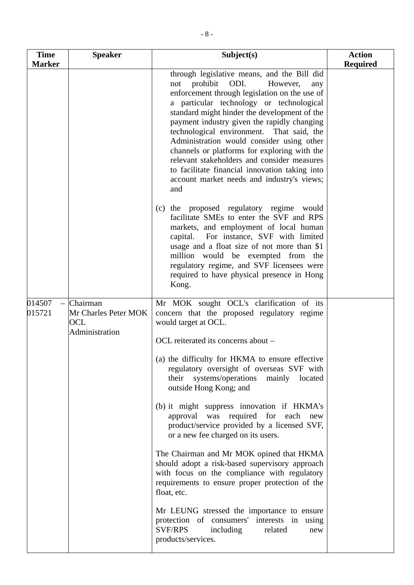| <b>Time</b>      | <b>Speaker</b>                                            | Subject(s)                                                                                                                                                                                                                                                                                                                                                                                                                                                                                                                                                                            | <b>Action</b>   |
|------------------|-----------------------------------------------------------|---------------------------------------------------------------------------------------------------------------------------------------------------------------------------------------------------------------------------------------------------------------------------------------------------------------------------------------------------------------------------------------------------------------------------------------------------------------------------------------------------------------------------------------------------------------------------------------|-----------------|
| <b>Marker</b>    |                                                           |                                                                                                                                                                                                                                                                                                                                                                                                                                                                                                                                                                                       | <b>Required</b> |
|                  |                                                           | through legislative means, and the Bill did<br>ODI.<br>prohibit<br>However,<br>not<br>any<br>enforcement through legislation on the use of<br>a particular technology or technological<br>standard might hinder the development of the<br>payment industry given the rapidly changing<br>technological environment. That said, the<br>Administration would consider using other<br>channels or platforms for exploring with the<br>relevant stakeholders and consider measures<br>to facilitate financial innovation taking into<br>account market needs and industry's views;<br>and |                 |
|                  |                                                           | (c) the proposed regulatory regime would<br>facilitate SMEs to enter the SVF and RPS<br>markets, and employment of local human<br>capital. For instance, SVF with limited<br>usage and a float size of not more than \$1<br>million would be exempted from the<br>regulatory regime, and SVF licensees were<br>required to have physical presence in Hong<br>Kong.                                                                                                                                                                                                                    |                 |
| 014507<br>015721 | Chairman<br>Mr Charles Peter MOK<br>OCL<br>Administration | Mr MOK sought OCL's clarification of its<br>concern that the proposed regulatory regime<br>would target at OCL.                                                                                                                                                                                                                                                                                                                                                                                                                                                                       |                 |
|                  |                                                           | OCL reiterated its concerns about -                                                                                                                                                                                                                                                                                                                                                                                                                                                                                                                                                   |                 |
|                  |                                                           | (a) the difficulty for HKMA to ensure effective<br>regulatory oversight of overseas SVF with<br>their systems/operations<br>mainly located<br>outside Hong Kong; and                                                                                                                                                                                                                                                                                                                                                                                                                  |                 |
|                  |                                                           | (b) it might suppress innovation if HKMA's<br>approval was required for each<br>new<br>product/service provided by a licensed SVF,<br>or a new fee charged on its users.                                                                                                                                                                                                                                                                                                                                                                                                              |                 |
|                  |                                                           | The Chairman and Mr MOK opined that HKMA<br>should adopt a risk-based supervisory approach<br>with focus on the compliance with regulatory<br>requirements to ensure proper protection of the<br>float, etc.                                                                                                                                                                                                                                                                                                                                                                          |                 |
|                  |                                                           | Mr LEUNG stressed the importance to ensure<br>protection of consumers' interests in using<br><b>SVF/RPS</b><br>including<br>related<br>new<br>products/services.                                                                                                                                                                                                                                                                                                                                                                                                                      |                 |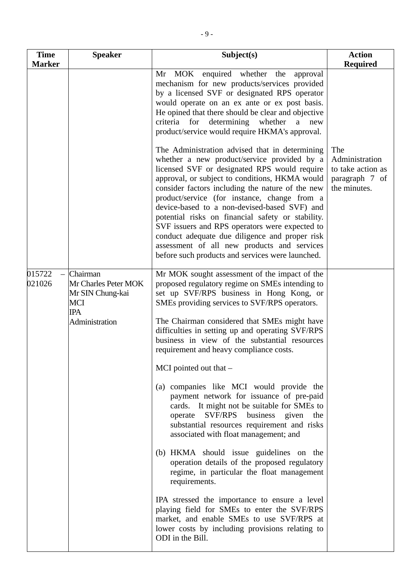| <b>Time</b>      | <b>Speaker</b>                                                                                     | Subject(s)                                                                                                                                                                                                                                                                                                                                                                                                                                                                                                                                                                                                      | <b>Action</b>                                                                |
|------------------|----------------------------------------------------------------------------------------------------|-----------------------------------------------------------------------------------------------------------------------------------------------------------------------------------------------------------------------------------------------------------------------------------------------------------------------------------------------------------------------------------------------------------------------------------------------------------------------------------------------------------------------------------------------------------------------------------------------------------------|------------------------------------------------------------------------------|
| <b>Marker</b>    |                                                                                                    |                                                                                                                                                                                                                                                                                                                                                                                                                                                                                                                                                                                                                 | <b>Required</b>                                                              |
|                  |                                                                                                    | enquired whether the<br>Mr MOK<br>approval<br>mechanism for new products/services provided<br>by a licensed SVF or designated RPS operator<br>would operate on an ex ante or ex post basis.<br>He opined that there should be clear and objective<br>criteria for determining whether<br>a new<br>product/service would require HKMA's approval.                                                                                                                                                                                                                                                                |                                                                              |
|                  |                                                                                                    | The Administration advised that in determining<br>whether a new product/service provided by a<br>licensed SVF or designated RPS would require<br>approval, or subject to conditions, HKMA would<br>consider factors including the nature of the new<br>product/service (for instance, change from a<br>device-based to a non-devised-based SVF) and<br>potential risks on financial safety or stability.<br>SVF issuers and RPS operators were expected to<br>conduct adequate due diligence and proper risk<br>assessment of all new products and services<br>before such products and services were launched. | The<br>Administration<br>to take action as<br>paragraph 7 of<br>the minutes. |
| 015722<br>021026 | Chairman<br>Mr Charles Peter MOK<br>Mr SIN Chung-kai<br><b>MCI</b><br><b>IPA</b><br>Administration | Mr MOK sought assessment of the impact of the<br>proposed regulatory regime on SMEs intending to<br>set up SVF/RPS business in Hong Kong, or<br>SMEs providing services to SVF/RPS operators.<br>The Chairman considered that SMEs might have<br>difficulties in setting up and operating SVF/RPS<br>business in view of the substantial resources<br>requirement and heavy compliance costs.                                                                                                                                                                                                                   |                                                                              |
|                  |                                                                                                    | MCI pointed out that $-$<br>(a) companies like MCI would provide the<br>payment network for issuance of pre-paid<br>cards. It might not be suitable for SMEs to<br>operate SVF/RPS business given the<br>substantial resources requirement and risks<br>associated with float management; and                                                                                                                                                                                                                                                                                                                   |                                                                              |
|                  |                                                                                                    | (b) HKMA should issue guidelines on the<br>operation details of the proposed regulatory<br>regime, in particular the float management<br>requirements.<br>IPA stressed the importance to ensure a level<br>playing field for SMEs to enter the SVF/RPS<br>market, and enable SMEs to use SVF/RPS at<br>lower costs by including provisions relating to<br>ODI in the Bill.                                                                                                                                                                                                                                      |                                                                              |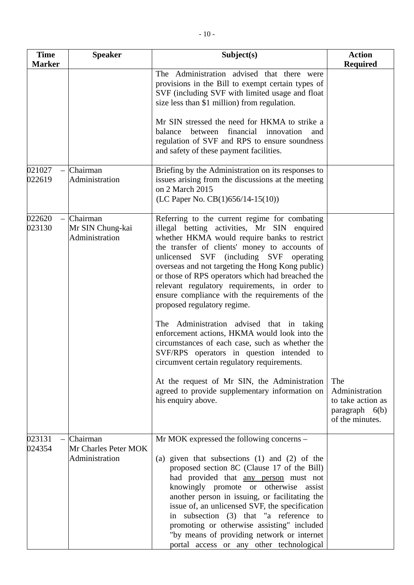| <b>Time</b>      | <b>Speaker</b>                                     | Subject(s)                                                                                                                                                                                                                                                                                                                                                                                                                                                                                                                                                                                                                                                                                                                                                                                                                                                 | <b>Action</b>                                                  |
|------------------|----------------------------------------------------|------------------------------------------------------------------------------------------------------------------------------------------------------------------------------------------------------------------------------------------------------------------------------------------------------------------------------------------------------------------------------------------------------------------------------------------------------------------------------------------------------------------------------------------------------------------------------------------------------------------------------------------------------------------------------------------------------------------------------------------------------------------------------------------------------------------------------------------------------------|----------------------------------------------------------------|
| <b>Marker</b>    |                                                    |                                                                                                                                                                                                                                                                                                                                                                                                                                                                                                                                                                                                                                                                                                                                                                                                                                                            | <b>Required</b>                                                |
|                  |                                                    | The Administration advised that there were<br>provisions in the Bill to exempt certain types of<br>SVF (including SVF with limited usage and float<br>size less than \$1 million) from regulation.                                                                                                                                                                                                                                                                                                                                                                                                                                                                                                                                                                                                                                                         |                                                                |
|                  |                                                    | Mr SIN stressed the need for HKMA to strike a<br>financial<br>innovation<br>balance<br>between<br>and<br>regulation of SVF and RPS to ensure soundness<br>and safety of these payment facilities.                                                                                                                                                                                                                                                                                                                                                                                                                                                                                                                                                                                                                                                          |                                                                |
| 021027<br>022619 | Chairman<br>Administration                         | Briefing by the Administration on its responses to<br>issues arising from the discussions at the meeting<br>on 2 March 2015<br>(LC Paper No. CB(1)656/14-15(10))                                                                                                                                                                                                                                                                                                                                                                                                                                                                                                                                                                                                                                                                                           |                                                                |
| 022620<br>023130 | Chairman<br>Mr SIN Chung-kai<br>Administration     | Referring to the current regime for combating<br>illegal betting activities, Mr SIN enquired<br>whether HKMA would require banks to restrict<br>the transfer of clients' money to accounts of<br>unlicensed SVF<br>(including SVF operating<br>overseas and not targeting the Hong Kong public)<br>or those of RPS operators which had breached the<br>relevant regulatory requirements, in order to<br>ensure compliance with the requirements of the<br>proposed regulatory regime.<br>The Administration advised that in taking<br>enforcement actions, HKMA would look into the<br>circumstances of each case, such as whether the<br>SVF/RPS operators in question intended to<br>circumvent certain regulatory requirements.<br>At the request of Mr SIN, the Administration<br>agreed to provide supplementary information on<br>his enquiry above. | The<br>Administration<br>to take action as<br>paragraph $6(b)$ |
| 023131<br>024354 | Chairman<br>Mr Charles Peter MOK<br>Administration | Mr MOK expressed the following concerns –<br>(a) given that subsections $(1)$ and $(2)$ of the<br>proposed section 8C (Clause 17 of the Bill)<br>had provided that any person must not<br>knowingly promote or otherwise<br>assist<br>another person in issuing, or facilitating the<br>issue of, an unlicensed SVF, the specification<br>in subsection (3) that "a reference to<br>promoting or otherwise assisting" included<br>"by means of providing network or internet<br>portal access or any other technological                                                                                                                                                                                                                                                                                                                                   | of the minutes.                                                |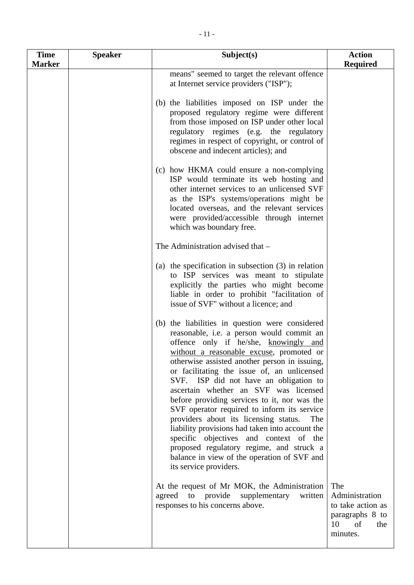| <b>Time</b>   | <b>Speaker</b> | Subject(s)                                                                                                                                                                                                                                                                                                                                                                                                                                                                                                                                                                                                                                                                                                                            | <b>Action</b>                                                                                |
|---------------|----------------|---------------------------------------------------------------------------------------------------------------------------------------------------------------------------------------------------------------------------------------------------------------------------------------------------------------------------------------------------------------------------------------------------------------------------------------------------------------------------------------------------------------------------------------------------------------------------------------------------------------------------------------------------------------------------------------------------------------------------------------|----------------------------------------------------------------------------------------------|
| <b>Marker</b> |                |                                                                                                                                                                                                                                                                                                                                                                                                                                                                                                                                                                                                                                                                                                                                       | <b>Required</b>                                                                              |
|               |                | means" seemed to target the relevant offence<br>at Internet service providers ("ISP");                                                                                                                                                                                                                                                                                                                                                                                                                                                                                                                                                                                                                                                |                                                                                              |
|               |                | (b) the liabilities imposed on ISP under the<br>proposed regulatory regime were different<br>from those imposed on ISP under other local<br>regulatory regimes (e.g. the regulatory<br>regimes in respect of copyright, or control of<br>obscene and indecent articles); and                                                                                                                                                                                                                                                                                                                                                                                                                                                          |                                                                                              |
|               |                | (c) how HKMA could ensure a non-complying<br>ISP would terminate its web hosting and<br>other internet services to an unlicensed SVF<br>as the ISP's systems/operations might be<br>located overseas, and the relevant services<br>were provided/accessible through internet<br>which was boundary free.                                                                                                                                                                                                                                                                                                                                                                                                                              |                                                                                              |
|               |                | The Administration advised that -                                                                                                                                                                                                                                                                                                                                                                                                                                                                                                                                                                                                                                                                                                     |                                                                                              |
|               |                | (a) the specification in subsection $(3)$ in relation<br>to ISP services was meant to stipulate<br>explicitly the parties who might become<br>liable in order to prohibit "facilitation of<br>issue of SVF" without a licence; and                                                                                                                                                                                                                                                                                                                                                                                                                                                                                                    |                                                                                              |
|               |                | (b) the liabilities in question were considered<br>reasonable, i.e. a person would commit an<br>offence only if he/she, knowingly and<br>without a reasonable excuse, promoted or<br>otherwise assisted another person in issuing,<br>or facilitating the issue of, an unlicensed<br>SVF. ISP did not have an obligation to<br>ascertain whether an SVF was licensed<br>before providing services to it, nor was the<br>SVF operator required to inform its service<br>providers about its licensing status.<br>The<br>liability provisions had taken into account the<br>specific objectives and context of the<br>proposed regulatory regime, and struck a<br>balance in view of the operation of SVF and<br>its service providers. |                                                                                              |
|               |                | At the request of Mr MOK, the Administration<br>agreed<br>to<br>provide<br>supplementary<br>written<br>responses to his concerns above.                                                                                                                                                                                                                                                                                                                                                                                                                                                                                                                                                                                               | The<br>Administration<br>to take action as<br>paragraphs 8 to<br>10<br>of<br>the<br>minutes. |